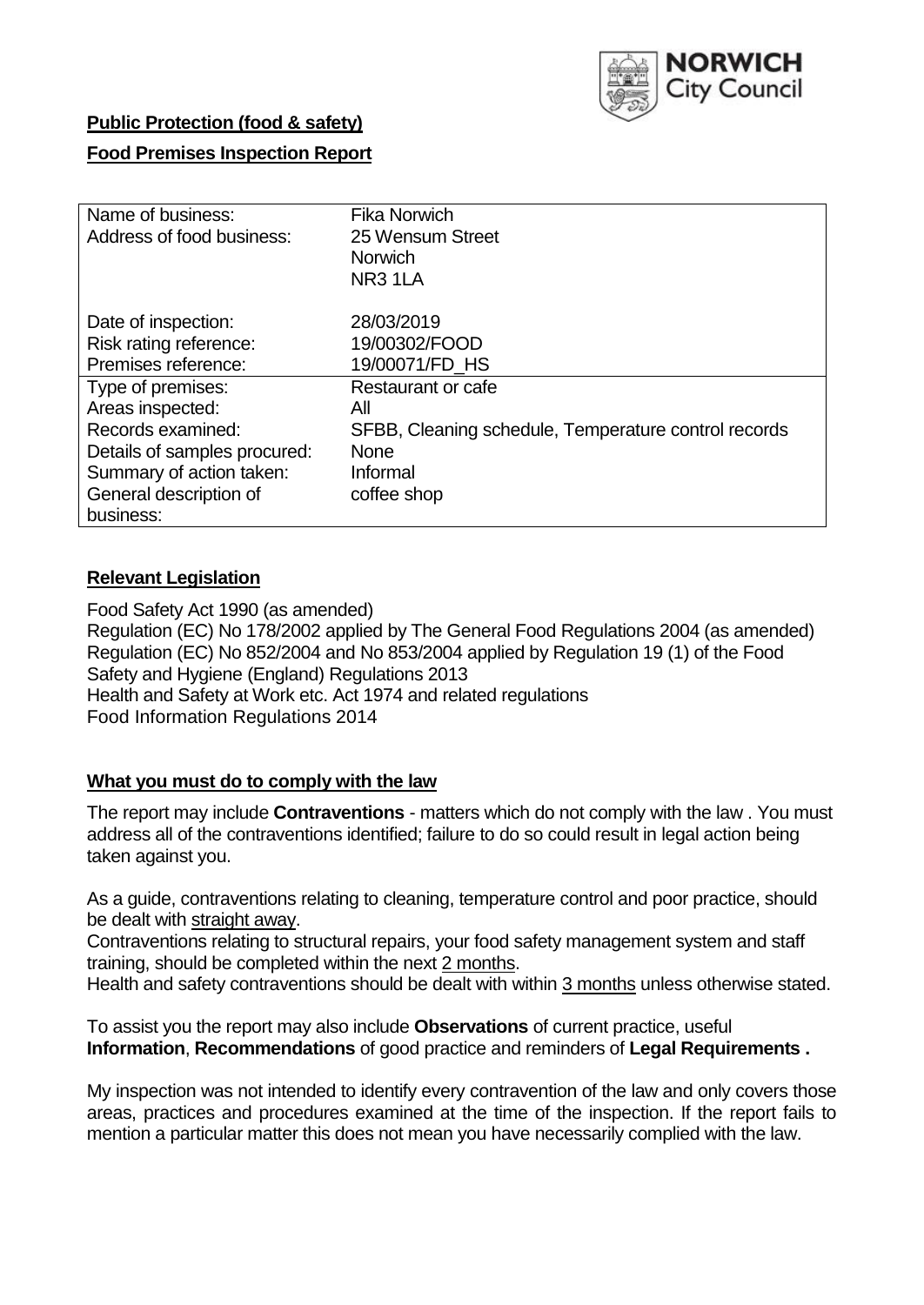

## **Public Protection (food & safety)**

## **Food Premises Inspection Report**

| Name of business:            | <b>Fika Norwich</b>                                  |
|------------------------------|------------------------------------------------------|
| Address of food business:    | 25 Wensum Street                                     |
|                              | <b>Norwich</b>                                       |
|                              | NR <sub>3</sub> 1LA                                  |
| Date of inspection:          | 28/03/2019                                           |
| Risk rating reference:       | 19/00302/FOOD                                        |
| Premises reference:          | 19/00071/FD HS                                       |
| Type of premises:            | Restaurant or cafe                                   |
| Areas inspected:             | All                                                  |
| Records examined:            | SFBB, Cleaning schedule, Temperature control records |
| Details of samples procured: | <b>None</b>                                          |
| Summary of action taken:     | Informal                                             |
| General description of       | coffee shop                                          |
| business:                    |                                                      |

## **Relevant Legislation**

Food Safety Act 1990 (as amended) Regulation (EC) No 178/2002 applied by The General Food Regulations 2004 (as amended) Regulation (EC) No 852/2004 and No 853/2004 applied by Regulation 19 (1) of the Food Safety and Hygiene (England) Regulations 2013 Health and Safety at Work etc. Act 1974 and related regulations Food Information Regulations 2014

#### **What you must do to comply with the law**

The report may include **Contraventions** - matters which do not comply with the law . You must address all of the contraventions identified; failure to do so could result in legal action being taken against you.

As a guide, contraventions relating to cleaning, temperature control and poor practice, should be dealt with straight away.

Contraventions relating to structural repairs, your food safety management system and staff training, should be completed within the next 2 months.

Health and safety contraventions should be dealt with within 3 months unless otherwise stated.

To assist you the report may also include **Observations** of current practice, useful **Information**, **Recommendations** of good practice and reminders of **Legal Requirements .**

My inspection was not intended to identify every contravention of the law and only covers those areas, practices and procedures examined at the time of the inspection. If the report fails to mention a particular matter this does not mean you have necessarily complied with the law.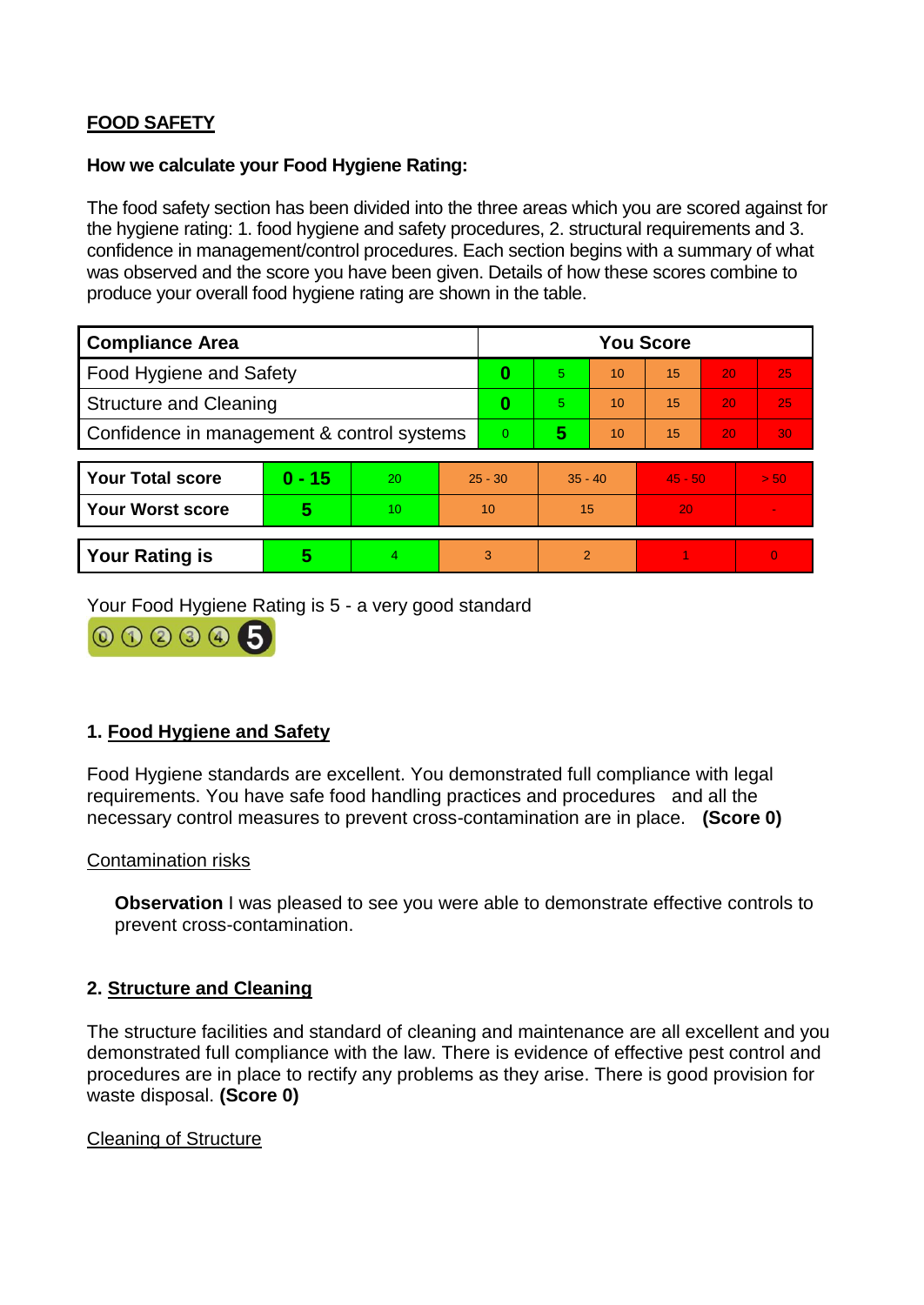# **FOOD SAFETY**

#### **How we calculate your Food Hygiene Rating:**

The food safety section has been divided into the three areas which you are scored against for the hygiene rating: 1. food hygiene and safety procedures, 2. structural requirements and 3. confidence in management/control procedures. Each section begins with a summary of what was observed and the score you have been given. Details of how these scores combine to produce your overall food hygiene rating are shown in the table.

| <b>Compliance Area</b>                     |          |                  |           | <b>You Score</b> |                |    |           |    |                |  |  |
|--------------------------------------------|----------|------------------|-----------|------------------|----------------|----|-----------|----|----------------|--|--|
| Food Hygiene and Safety                    |          |                  |           | 0                | 5              | 10 | 15        | 20 | 25             |  |  |
| <b>Structure and Cleaning</b>              |          |                  |           | 0                | 5              | 10 | 15        | 20 | 25             |  |  |
| Confidence in management & control systems |          |                  | $\Omega$  | 5                | 10             | 15 | 20        | 30 |                |  |  |
|                                            |          |                  |           |                  |                |    |           |    |                |  |  |
| <b>Your Total score</b>                    | $0 - 15$ | 20               | $25 - 30$ |                  | $35 - 40$      |    | $45 - 50$ |    | > 50           |  |  |
| <b>Your Worst score</b>                    | 5        | 10 <sup>10</sup> | 10        |                  | 15             |    | 20        |    | $\blacksquare$ |  |  |
|                                            |          |                  |           |                  |                |    |           |    |                |  |  |
| <b>Your Rating is</b>                      | 5        | 4                |           | 3                | $\overline{2}$ |    |           |    | $\overline{0}$ |  |  |

Your Food Hygiene Rating is 5 - a very good standard



## **1. Food Hygiene and Safety**

Food Hygiene standards are excellent. You demonstrated full compliance with legal requirements. You have safe food handling practices and procedures and all the necessary control measures to prevent cross-contamination are in place. **(Score 0)**

#### Contamination risks

**Observation** I was pleased to see you were able to demonstrate effective controls to prevent cross-contamination.

#### **2. Structure and Cleaning**

The structure facilities and standard of cleaning and maintenance are all excellent and you demonstrated full compliance with the law. There is evidence of effective pest control and procedures are in place to rectify any problems as they arise. There is good provision for waste disposal. **(Score 0)**

#### Cleaning of Structure